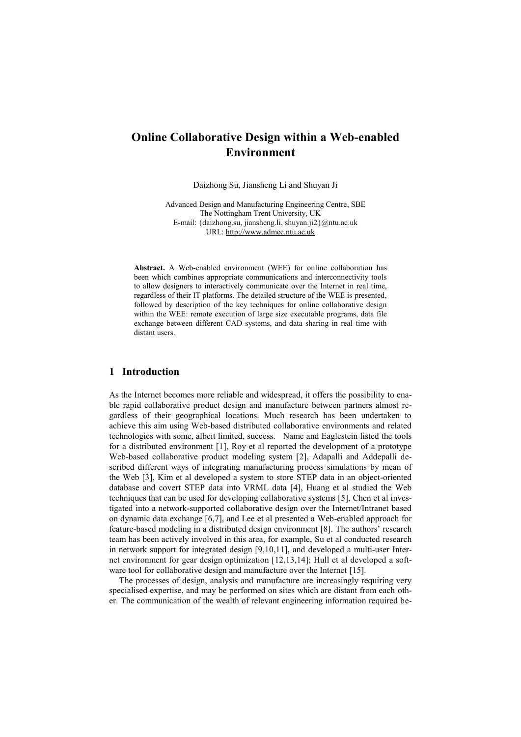# **Online Collaborative Design within a Web-enabled Environment**

Daizhong Su, Jiansheng Li and Shuyan Ji

Advanced Design and Manufacturing Engineering Centre, SBE The Nottingham Trent University, UK E-mail: {daizhong.su, jiansheng.li, shuyan.ji2}@ntu.ac.uk URL: [http://www.admec.ntu.ac.uk](http://www.admec.ntu.ac.uk/)

**Abstract.** A Web-enabled environment (WEE) for online collaboration has been which combines appropriate communications and interconnectivity tools to allow designers to interactively communicate over the Internet in real time, regardless of their IT platforms. The detailed structure of the WEE is presented, followed by description of the key techniques for online collaborative design within the WEE: remote execution of large size executable programs, data file exchange between different CAD systems, and data sharing in real time with distant users.

# **1 Introduction**

As the Internet becomes more reliable and widespread, it offers the possibility to enable rapid collaborative product design and manufacture between partners almost regardless of their geographical locations. Much research has been undertaken to achieve this aim using Web-based distributed collaborative environments and related technologies with some, albeit limited, success. Name and Eaglestein listed the tools for a distributed environment [1], Roy et al reported the development of a prototype Web-based collaborative product modeling system [2], Adapalli and Addepalli described different ways of integrating manufacturing process simulations by mean of the Web [3], Kim et al developed a system to store STEP data in an object-oriented database and covert STEP data into VRML data [4], Huang et al studied the Web techniques that can be used for developing collaborative systems [5], Chen et al investigated into a network-supported collaborative design over the Internet/Intranet based on dynamic data exchange [6,7], and Lee et al presented a Web-enabled approach for feature-based modeling in a distributed design environment [8]. The authors' research team has been actively involved in this area, for example, Su et al conducted research in network support for integrated design [9,10,11], and developed a multi-user Internet environment for gear design optimization [12,13,14]; Hull et al developed a software tool for collaborative design and manufacture over the Internet [15].

The processes of design, analysis and manufacture are increasingly requiring very specialised expertise, and may be performed on sites which are distant from each other. The communication of the wealth of relevant engineering information required be-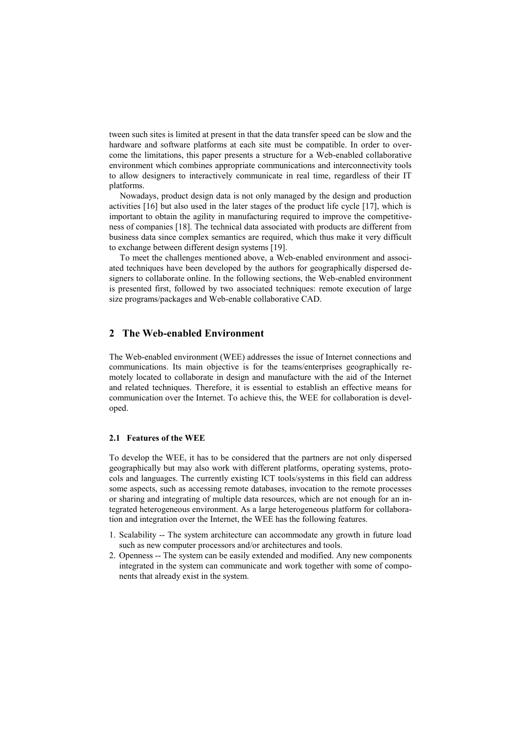tween such sites is limited at present in that the data transfer speed can be slow and the hardware and software platforms at each site must be compatible. In order to overcome the limitations, this paper presents a structure for a Web-enabled collaborative environment which combines appropriate communications and interconnectivity tools to allow designers to interactively communicate in real time, regardless of their IT platforms.

Nowadays, product design data is not only managed by the design and production activities [16] but also used in the later stages of the product life cycle [17], which is important to obtain the agility in manufacturing required to improve the competitiveness of companies [18]. The technical data associated with products are different from business data since complex semantics are required, which thus make it very difficult to exchange between different design systems [19].

To meet the challenges mentioned above, a Web-enabled environment and associated techniques have been developed by the authors for geographically dispersed designers to collaborate online. In the following sections, the Web-enabled environment is presented first, followed by two associated techniques: remote execution of large size programs/packages and Web-enable collaborative CAD.

# **2 The Web-enabled Environment**

The Web-enabled environment (WEE) addresses the issue of Internet connections and communications. Its main objective is for the teams/enterprises geographically remotely located to collaborate in design and manufacture with the aid of the Internet and related techniques. Therefore, it is essential to establish an effective means for communication over the Internet. To achieve this, the WEE for collaboration is developed.

#### **2.1 Features of the WEE**

To develop the WEE, it has to be considered that the partners are not only dispersed geographically but may also work with different platforms, operating systems, protocols and languages. The currently existing ICT tools/systems in this field can address some aspects, such as accessing remote databases, invocation to the remote processes or sharing and integrating of multiple data resources, which are not enough for an integrated heterogeneous environment. As a large heterogeneous platform for collaboration and integration over the Internet, the WEE has the following features.

- 1. Scalability -- The system architecture can accommodate any growth in future load such as new computer processors and/or architectures and tools.
- 2. Openness -- The system can be easily extended and modified. Any new components integrated in the system can communicate and work together with some of components that already exist in the system.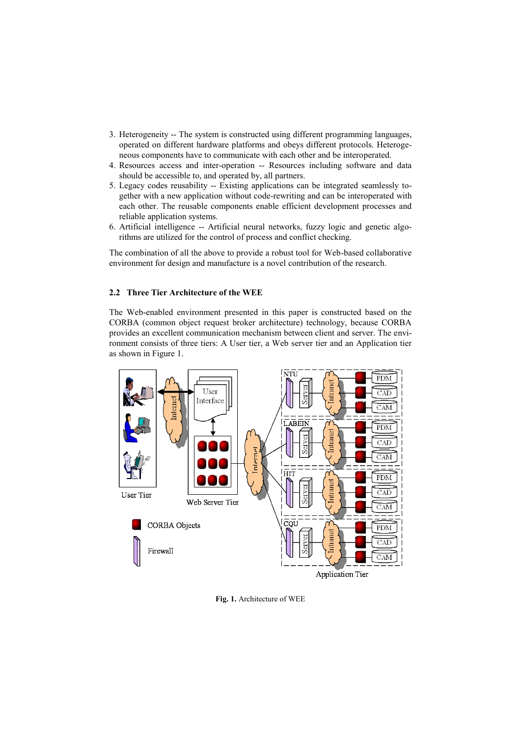- 3. Heterogeneity -- The system is constructed using different programming languages, operated on different hardware platforms and obeys different protocols. Heterogeneous components have to communicate with each other and be interoperated.
- 4. Resources access and inter-operation -- Resources including software and data should be accessible to, and operated by, all partners.
- 5. Legacy codes reusability -- Existing applications can be integrated seamlessly together with a new application without code-rewriting and can be interoperated with each other. The reusable components enable efficient development processes and reliable application systems.
- 6. Artificial intelligence -- Artificial neural networks, fuzzy logic and genetic algorithms are utilized for the control of process and conflict checking.

The combination of all the above to provide a robust tool for Web-based collaborative environment for design and manufacture is a novel contribution of the research.

### **2.2 Three Tier Architecture of the WEE**

The Web-enabled environment presented in this paper is constructed based on the CORBA (common object request broker architecture) technology, because CORBA provides an excellent communication mechanism between client and server. The environment consists of three tiers: A User tier, a Web server tier and an Application tier as shown in Figure 1.



**Fig. 1.** Architecture of WEE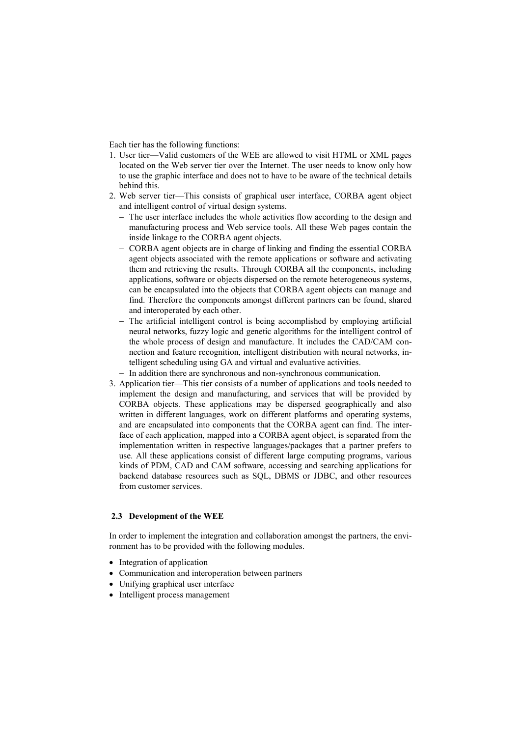Each tier has the following functions:

- 1. User tier—Valid customers of the WEE are allowed to visit HTML or XML pages located on the Web server tier over the Internet. The user needs to know only how to use the graphic interface and does not to have to be aware of the technical details behind this.
- 2. Web server tier—This consists of graphical user interface, CORBA agent object and intelligent control of virtual design systems.
	- The user interface includes the whole activities flow according to the design and manufacturing process and Web service tools. All these Web pages contain the inside linkage to the CORBA agent objects.
	- CORBA agent objects are in charge of linking and finding the essential CORBA agent objects associated with the remote applications or software and activating them and retrieving the results. Through CORBA all the components, including applications, software or objects dispersed on the remote heterogeneous systems, can be encapsulated into the objects that CORBA agent objects can manage and find. Therefore the components amongst different partners can be found, shared and interoperated by each other.
	- The artificial intelligent control is being accomplished by employing artificial neural networks, fuzzy logic and genetic algorithms for the intelligent control of the whole process of design and manufacture. It includes the CAD/CAM connection and feature recognition, intelligent distribution with neural networks, intelligent scheduling using GA and virtual and evaluative activities.
	- In addition there are synchronous and non-synchronous communication.
- 3. Application tier—This tier consists of a number of applications and tools needed to implement the design and manufacturing, and services that will be provided by CORBA objects. These applications may be dispersed geographically and also written in different languages, work on different platforms and operating systems, and are encapsulated into components that the CORBA agent can find. The interface of each application, mapped into a CORBA agent object, is separated from the implementation written in respective languages/packages that a partner prefers to use. All these applications consist of different large computing programs, various kinds of PDM, CAD and CAM software, accessing and searching applications for backend database resources such as SQL, DBMS or JDBC, and other resources from customer services.

### **2.3 Development of the WEE**

In order to implement the integration and collaboration amongst the partners, the environment has to be provided with the following modules.

- Integration of application
- Communication and interoperation between partners
- Unifying graphical user interface
- Intelligent process management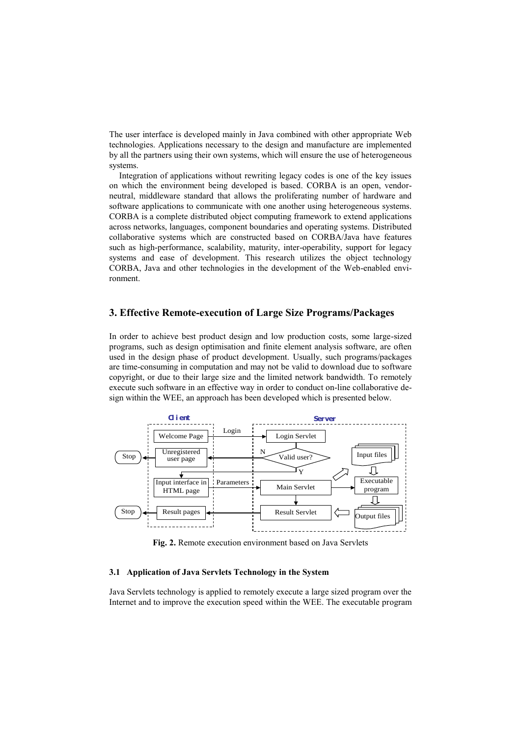The user interface is developed mainly in Java combined with other appropriate Web technologies. Applications necessary to the design and manufacture are implemented by all the partners using their own systems, which will ensure the use of heterogeneous systems.

Integration of applications without rewriting legacy codes is one of the key issues on which the environment being developed is based. CORBA is an open, vendorneutral, middleware standard that allows the proliferating number of hardware and software applications to communicate with one another using heterogeneous systems. CORBA is a complete distributed object computing framework to extend applications across networks, languages, component boundaries and operating systems. Distributed collaborative systems which are constructed based on CORBA/Java have features such as high-performance, scalability, maturity, inter-operability, support for legacy systems and ease of development. This research utilizes the object technology CORBA, Java and other technologies in the development of the Web-enabled environment.

# **3. Effective Remote-execution of Large Size Programs/Packages**

In order to achieve best product design and low production costs, some large-sized programs, such as design optimisation and finite element analysis software, are often used in the design phase of product development. Usually, such programs/packages are time-consuming in computation and may not be valid to download due to software copyright, or due to their large size and the limited network bandwidth. To remotely execute such software in an effective way in order to conduct on-line collaborative de-



**Fig. 2.** Remote execution environment based on Java Servlets

#### **3.1 Application of Java Servlets Technology in the System**

Java Servlets technology is applied to remotely execute a large sized program over the Internet and to improve the execution speed within the WEE. The executable program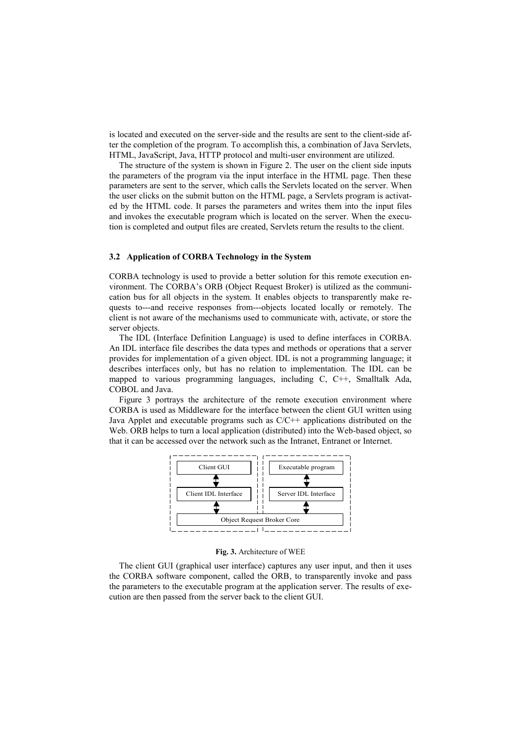is located and executed on the server-side and the results are sent to the client-side after the completion of the program. To accomplish this, a combination of Java Servlets, HTML, JavaScript, Java, HTTP protocol and multi-user environment are utilized.

The structure of the system is shown in Figure 2. The user on the client side inputs the parameters of the program via the input interface in the HTML page. Then these parameters are sent to the server, which calls the Servlets located on the server. When the user clicks on the submit button on the HTML page, a Servlets program is activated by the HTML code. It parses the parameters and writes them into the input files and invokes the executable program which is located on the server. When the execution is completed and output files are created, Servlets return the results to the client.

#### **3.2 Application of CORBA Technology in the System**

CORBA technology is used to provide a better solution for this remote execution environment. The CORBA's ORB (Object Request Broker) is utilized as the communication bus for all objects in the system. It enables objects to transparently make requests to---and receive responses from---objects located locally or remotely. The client is not aware of the mechanisms used to communicate with, activate, or store the server objects.

The IDL (Interface Definition Language) is used to define interfaces in CORBA. An IDL interface file describes the data types and methods or operations that a server provides for implementation of a given object. IDL is not a programming language; it describes interfaces only, but has no relation to implementation. The IDL can be mapped to various programming languages, including C, C++, Smalltalk Ada, COBOL and Java.

Figure 3 portrays the architecture of the remote execution environment where CORBA is used as Middleware for the interface between the client GUI written using Java Applet and executable programs such as  $C/C++$  applications distributed on the Web. ORB helps to turn a local application (distributed) into the Web-based object, so that it can be accessed over the network such as the Intranet, Entranet or Internet.



**Fig. 3.** Architecture of WEE

The client GUI (graphical user interface) captures any user input, and then it uses the CORBA software component, called the ORB, to transparently invoke and pass the parameters to the executable program at the application server. The results of execution are then passed from the server back to the client GUI.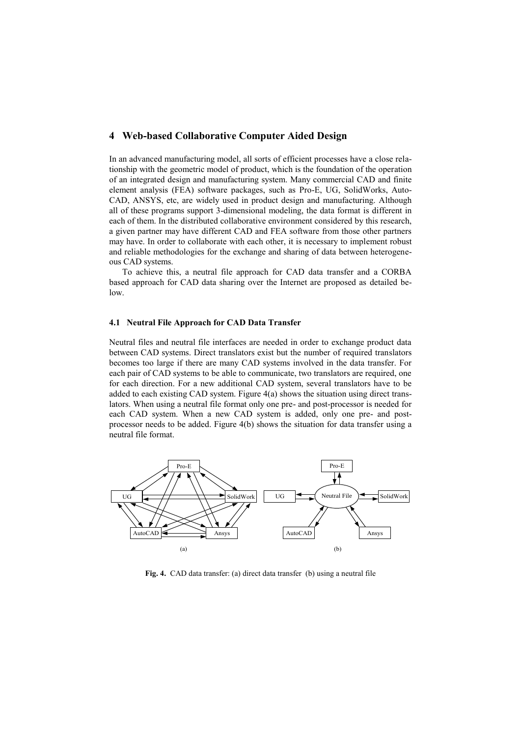### **4 Web-based Collaborative Computer Aided Design**

In an advanced manufacturing model, all sorts of efficient processes have a close relationship with the geometric model of product, which is the foundation of the operation of an integrated design and manufacturing system. Many commercial CAD and finite element analysis (FEA) software packages, such as Pro-E, UG, SolidWorks, Auto-CAD, ANSYS, etc, are widely used in product design and manufacturing. Although all of these programs support 3-dimensional modeling, the data format is different in each of them. In the distributed collaborative environment considered by this research, a given partner may have different CAD and FEA software from those other partners may have. In order to collaborate with each other, it is necessary to implement robust and reliable methodologies for the exchange and sharing of data between heterogeneous CAD systems.

To achieve this, a neutral file approach for CAD data transfer and a CORBA based approach for CAD data sharing over the Internet are proposed as detailed below.

#### **4.1 Neutral File Approach for CAD Data Transfer**

Neutral files and neutral file interfaces are needed in order to exchange product data between CAD systems. Direct translators exist but the number of required translators becomes too large if there are many CAD systems involved in the data transfer. For each pair of CAD systems to be able to communicate, two translators are required, one for each direction. For a new additional CAD system, several translators have to be added to each existing CAD system. Figure 4(a) shows the situation using direct translators. When using a neutral file format only one pre- and post-processor is needed for each CAD system. When a new CAD system is added, only one pre- and postprocessor needs to be added. Figure 4(b) shows the situation for data transfer using a neutral file format.



**Fig. 4.** CAD data transfer: (a) direct data transfer (b) using a neutral file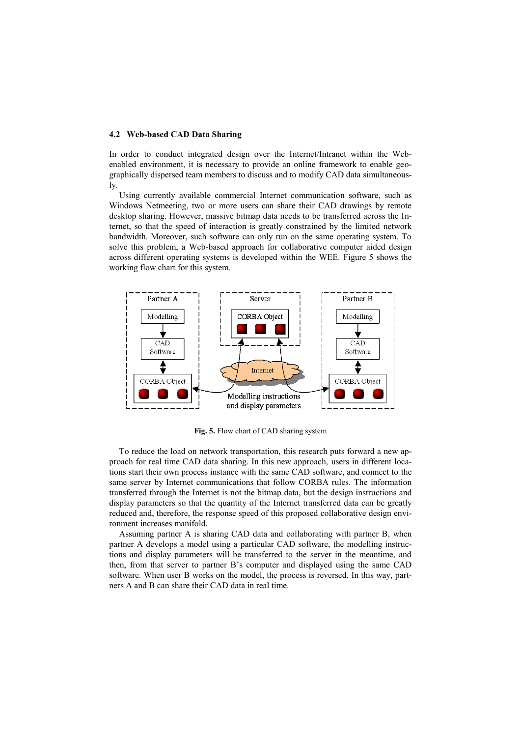#### **4.2 Web-based CAD Data Sharing**

In order to conduct integrated design over the Internet/Intranet within the Webenabled environment, it is necessary to provide an online framework to enable geographically dispersed team members to discuss and to modify CAD data simultaneously.

Using currently available commercial Internet communication software, such as Windows Netmeeting, two or more users can share their CAD drawings by remote desktop sharing. However, massive bitmap data needs to be transferred across the Internet, so that the speed of interaction is greatly constrained by the limited network bandwidth. Moreover, such software can only run on the same operating system. To solve this problem, a Web-based approach for collaborative computer aided design across different operating systems is developed within the WEE. Figure 5 shows the working flow chart for this system.



**Fig. 5.** Flow chart of CAD sharing system

To reduce the load on network transportation, this research puts forward a new approach for real time CAD data sharing. In this new approach, users in different locations start their own process instance with the same CAD software, and connect to the same server by Internet communications that follow CORBA rules. The information transferred through the Internet is not the bitmap data, but the design instructions and display parameters so that the quantity of the Internet transferred data can be greatly reduced and, therefore, the response speed of this proposed collaborative design environment increases manifold.

Assuming partner A is sharing CAD data and collaborating with partner B, when partner A develops a model using a particular CAD software, the modelling instructions and display parameters will be transferred to the server in the meantime, and then, from that server to partner B's computer and displayed using the same CAD software. When user B works on the model, the process is reversed. In this way, partners A and B can share their CAD data in real time.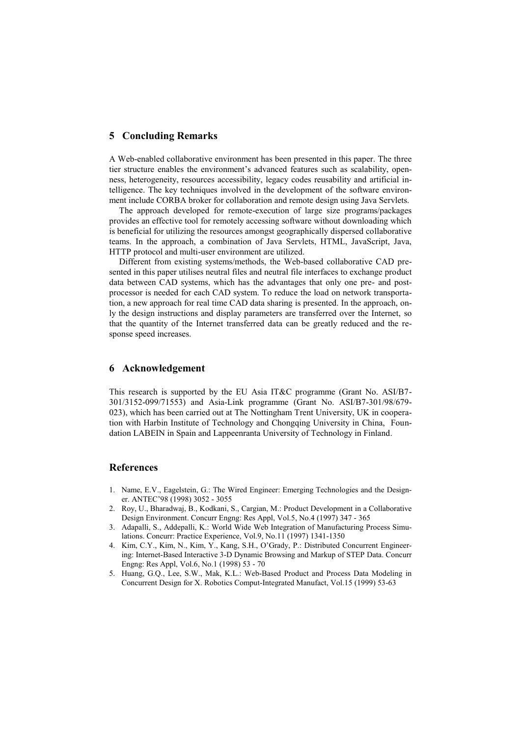### **5 Concluding Remarks**

A Web-enabled collaborative environment has been presented in this paper. The three tier structure enables the environment's advanced features such as scalability, openness, heterogeneity, resources accessibility, legacy codes reusability and artificial intelligence. The key techniques involved in the development of the software environment include CORBA broker for collaboration and remote design using Java Servlets.

The approach developed for remote-execution of large size programs/packages provides an effective tool for remotely accessing software without downloading which is beneficial for utilizing the resources amongst geographically dispersed collaborative teams. In the approach, a combination of Java Servlets, HTML, JavaScript, Java, HTTP protocol and multi-user environment are utilized.

Different from existing systems/methods, the Web-based collaborative CAD presented in this paper utilises neutral files and neutral file interfaces to exchange product data between CAD systems, which has the advantages that only one pre- and postprocessor is needed for each CAD system. To reduce the load on network transportation, a new approach for real time CAD data sharing is presented. In the approach, only the design instructions and display parameters are transferred over the Internet, so that the quantity of the Internet transferred data can be greatly reduced and the response speed increases.

# **6 Acknowledgement**

This research is supported by the EU Asia IT&C programme (Grant No. ASI/B7- 301/3152-099/71553) and Asia-Link programme (Grant No. ASI/B7-301/98/679- 023), which has been carried out at The Nottingham Trent University, UK in cooperation with Harbin Institute of Technology and Chongqing University in China, Foundation LABEIN in Spain and Lappeenranta University of Technology in Finland.

### **References**

- 1. Name, E.V., Eagelstein, G.: The Wired Engineer: Emerging Technologies and the Designer. ANTEC'98 (1998) 3052 - 3055
- 2. Roy, U., Bharadwaj, B., Kodkani, S., Cargian, M.: Product Development in a Collaborative Design Environment. Concurr Engng: Res Appl, Vol.5, No.4 (1997) 347 - 365
- 3. Adapalli, S., Addepalli, K.: World Wide Web Integration of Manufacturing Process Simulations. Concurr: Practice Experience, Vol.9, No.11 (1997) 1341-1350
- 4. Kim, C.Y., Kim, N., Kim, Y., Kang, S.H., O'Grady, P.: Distributed Concurrent Engineering: Internet-Based Interactive 3-D Dynamic Browsing and Markup of STEP Data. Concurr Engng: Res Appl, Vol.6, No.1 (1998) 53 - 70
- 5. Huang, G.Q., Lee, S.W., Mak, K.L.: Web-Based Product and Process Data Modeling in Concurrent Design for X. Robotics Comput-Integrated Manufact, Vol.15 (1999) 53-63